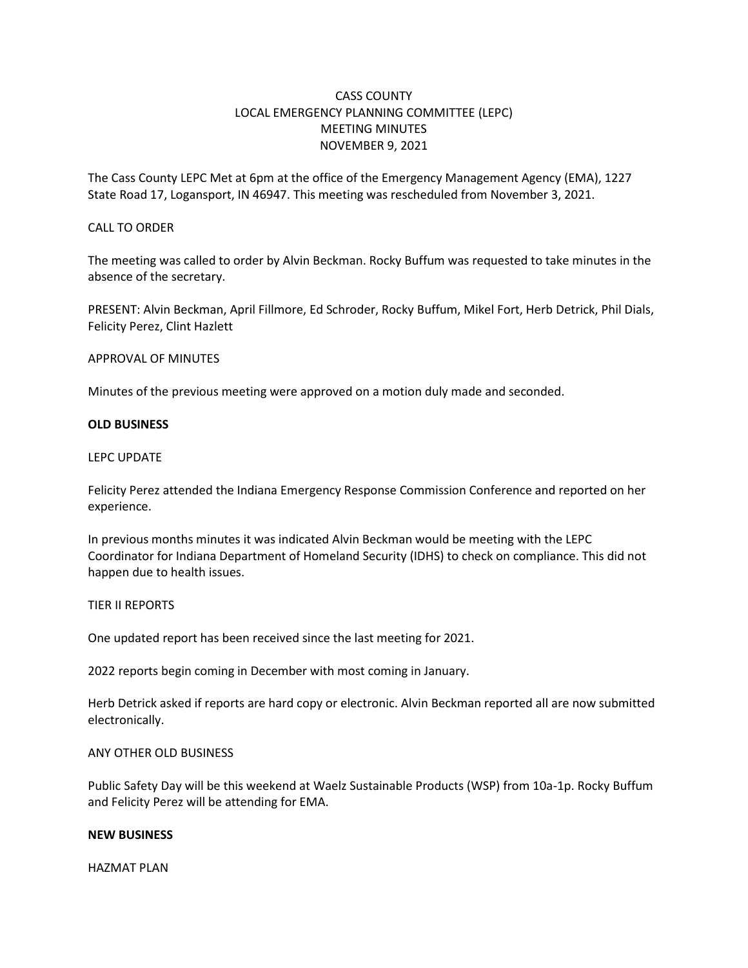# CASS COUNTY LOCAL EMERGENCY PLANNING COMMITTEE (LEPC) MEETING MINUTES NOVEMBER 9, 2021

The Cass County LEPC Met at 6pm at the office of the Emergency Management Agency (EMA), 1227 State Road 17, Logansport, IN 46947. This meeting was rescheduled from November 3, 2021.

### CALL TO ORDER

The meeting was called to order by Alvin Beckman. Rocky Buffum was requested to take minutes in the absence of the secretary.

PRESENT: Alvin Beckman, April Fillmore, Ed Schroder, Rocky Buffum, Mikel Fort, Herb Detrick, Phil Dials, Felicity Perez, Clint Hazlett

### APPROVAL OF MINUTES

Minutes of the previous meeting were approved on a motion duly made and seconded.

# **OLD BUSINESS**

### LEPC UPDATE

Felicity Perez attended the Indiana Emergency Response Commission Conference and reported on her experience.

In previous months minutes it was indicated Alvin Beckman would be meeting with the LEPC Coordinator for Indiana Department of Homeland Security (IDHS) to check on compliance. This did not happen due to health issues.

### TIER II REPORTS

One updated report has been received since the last meeting for 2021.

2022 reports begin coming in December with most coming in January.

Herb Detrick asked if reports are hard copy or electronic. Alvin Beckman reported all are now submitted electronically.

# ANY OTHER OLD BUSINESS

Public Safety Day will be this weekend at Waelz Sustainable Products (WSP) from 10a-1p. Rocky Buffum and Felicity Perez will be attending for EMA.

# **NEW BUSINESS**

HAZMAT PLAN